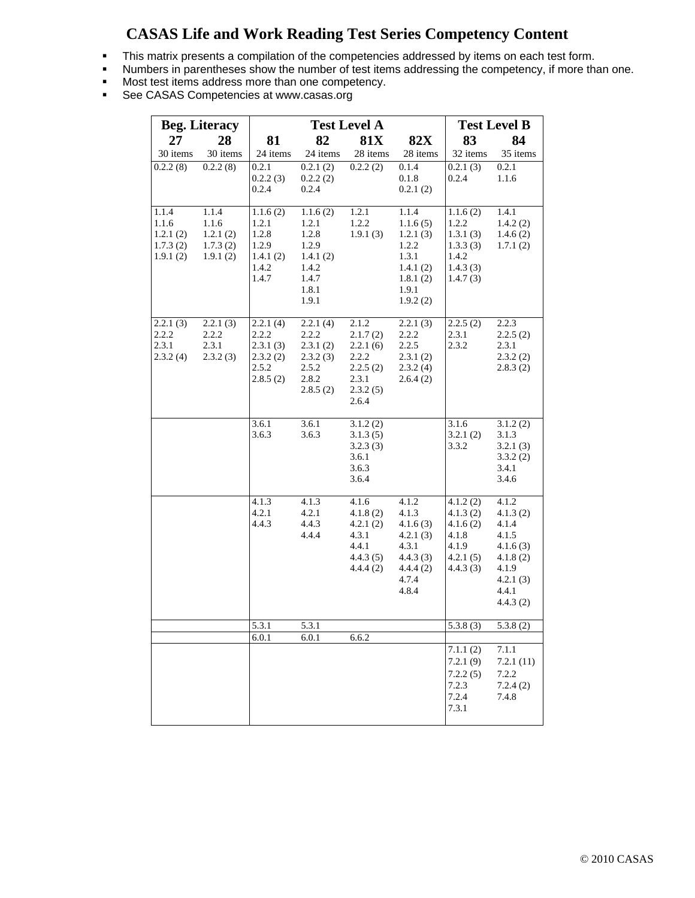## **CASAS Life and Work Reading Test Series Competency Content**

- This matrix presents a compilation of the competencies addressed by items on each test form.
- Numbers in parentheses show the number of test items addressing the competency, if more than one.
- Most test items address more than one competency.
- **See CASAS Competencies at www.casas.org**

| <b>Beg. Literacy</b>                               |                                                    | <b>Test Level A</b>                                               |                                                                                     |                                                                                  |                                                                                              | <b>Test Level B</b>                                                                      |                                                                                                       |
|----------------------------------------------------|----------------------------------------------------|-------------------------------------------------------------------|-------------------------------------------------------------------------------------|----------------------------------------------------------------------------------|----------------------------------------------------------------------------------------------|------------------------------------------------------------------------------------------|-------------------------------------------------------------------------------------------------------|
| 27                                                 | 28                                                 | 81                                                                | 82                                                                                  | <b>81X</b>                                                                       | <b>82X</b>                                                                                   | 83                                                                                       | 84                                                                                                    |
| 30 items                                           | 30 items                                           | 24 items                                                          | 24 items                                                                            | 28 items                                                                         | 28 items                                                                                     | 32 items                                                                                 | 35 items                                                                                              |
| 0.2.2(8)                                           | 0.2.2(8)                                           | 0.2.1<br>0.2.2(3)<br>0.2.4                                        | 0.2.1(2)<br>0.2.2(2)<br>0.2.4                                                       | 0.2.2(2)                                                                         | 0.1.4<br>0.1.8<br>0.2.1(2)                                                                   | 0.2.1(3)<br>0.2.4                                                                        | 0.2.1<br>1.1.6                                                                                        |
| 1.1.4<br>1.1.6<br>1.2.1(2)<br>1.7.3(2)<br>1.9.1(2) | 1.1.4<br>1.1.6<br>1.2.1(2)<br>1.7.3(2)<br>1.9.1(2) | 1.1.6(2)<br>1.2.1<br>1.2.8<br>1.2.9<br>1.4.1(2)<br>1.4.2<br>1.4.7 | 1.1.6(2)<br>1.2.1<br>1.2.8<br>1.2.9<br>1.4.1(2)<br>1.4.2<br>1.4.7<br>1.8.1<br>1.9.1 | 1.2.1<br>1.2.2<br>1.9.1(3)                                                       | 1.1.4<br>1.1.6(5)<br>1.2.1(3)<br>1.2.2<br>1.3.1<br>1.4.1(2)<br>1.8.1(2)<br>1.9.1<br>1.9.2(2) | $\overline{1.1.6}$ (2)<br>1.2.2<br>1.3.1(3)<br>1.3.3(3)<br>1.4.2<br>1.4.3(3)<br>1.4.7(3) | 1.4.1<br>1.4.2(2)<br>1.4.6(2)<br>1.7.1(2)                                                             |
| 2.2.1(3)<br>2.2.2<br>2.3.1<br>2.3.2(4)             | 2.2.1(3)<br>2.2.2<br>2.3.1<br>2.3.2(3)             | 2.2.1(4)<br>2.2.2<br>2.3.1(3)<br>2.3.2(2)<br>2.5.2<br>2.8.5(2)    | 2.2.1(4)<br>2.2.2<br>2.3.1(2)<br>2.3.2(3)<br>2.5.2<br>2.8.2<br>2.8.5(2)             | 2.1.2<br>2.1.7(2)<br>2.2.1(6)<br>2.2.2<br>2.2.5(2)<br>2.3.1<br>2.3.2(5)<br>2.6.4 | 2.2.1(3)<br>2.2.2<br>2.2.5<br>2.3.1(2)<br>2.3.2(4)<br>2.6.4(2)                               | 2.2.5(2)<br>2.3.1<br>2.3.2                                                               | 2.2.3<br>2.2.5(2)<br>2.3.1<br>2.3.2(2)<br>2.8.3(2)                                                    |
|                                                    |                                                    | 3.6.1<br>3.6.3                                                    | 3.6.1<br>3.6.3                                                                      | 3.1.2(2)<br>3.1.3(5)<br>3.2.3(3)<br>3.6.1<br>3.6.3<br>3.6.4                      |                                                                                              | 3.1.6<br>3.2.1(2)<br>3.3.2                                                               | 3.1.2(2)<br>3.1.3<br>3.2.1(3)<br>3.3.2(2)<br>3.4.1<br>3.4.6                                           |
|                                                    |                                                    | 4.1.3<br>4.2.1<br>4.4.3                                           | 4.1.3<br>4.2.1<br>4.4.3<br>4.4.4                                                    | 4.1.6<br>4.1.8(2)<br>4.2.1(2)<br>4.3.1<br>4.4.1<br>4.4.3(5)<br>4.4.4(2)          | 4.1.2<br>4.1.3<br>4.1.6(3)<br>4.2.1(3)<br>4.3.1<br>4.4.3(3)<br>4.4.4(2)<br>4.7.4<br>4.8.4    | 4.1.2(2)<br>4.1.3(2)<br>4.1.6(2)<br>4.1.8<br>4.1.9<br>4.2.1(5)<br>4.4.3(3)               | 4.1.2<br>4.1.3(2)<br>4.1.4<br>4.1.5<br>4.1.6(3)<br>4.1.8(2)<br>4.1.9<br>4.2.1(3)<br>4.4.1<br>4.4.3(2) |
|                                                    |                                                    | 5.3.1                                                             | 5.3.1                                                                               |                                                                                  |                                                                                              | 5.3.8(3)                                                                                 | 5.3.8(2)                                                                                              |
|                                                    |                                                    | 6.0.1                                                             | 6.0.1                                                                               | 6.6.2                                                                            |                                                                                              | 7.1.1(2)<br>7.2.1(9)<br>7.2.2(5)<br>7.2.3<br>7.2.4<br>7.3.1                              | 7.1.1<br>7.2.1(11)<br>7.2.2<br>7.2.4(2)<br>7.4.8                                                      |